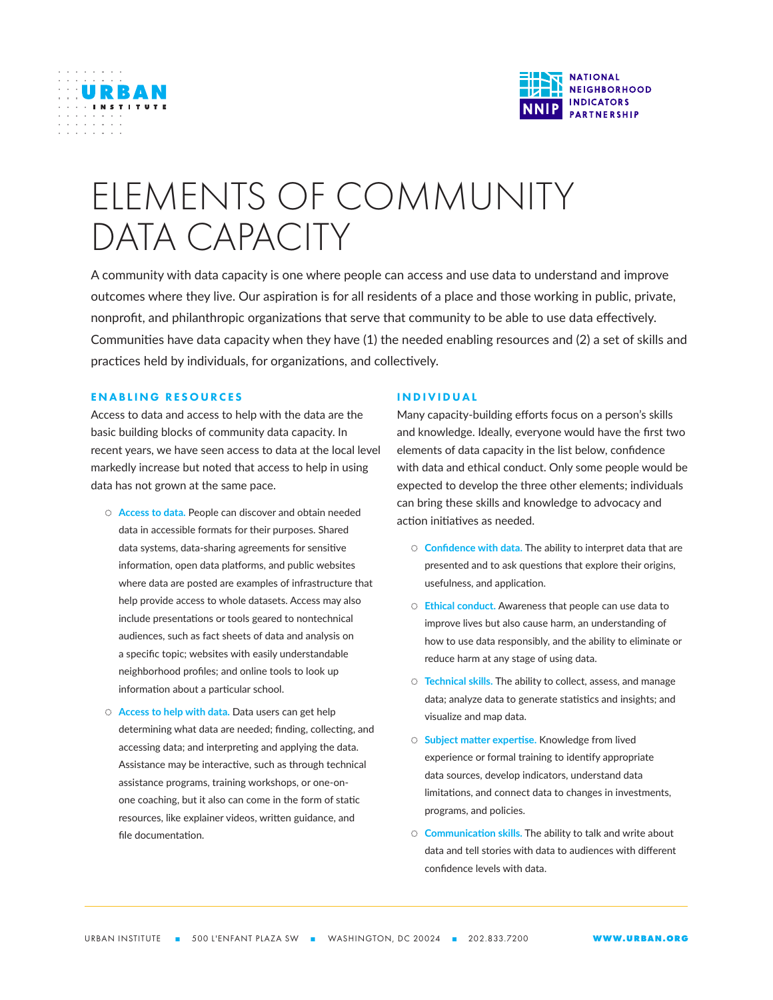



# ELEMENTS OF COMMUNITY DATA CAPACITY

A community with data capacity is one where people can access and use data to understand and improve outcomes where they live. Our aspiration is for all residents of a place and those working in public, private, nonprofit, and philanthropic organizations that serve that community to be able to use data effectively. Communities have data capacity when they have (1) the needed enabling resources and (2) a set of skills and practices held by individuals, for organizations, and collectively.

## ENABLING RESOURCES

Access to data and access to help with the data are the basic building blocks of community data capacity. In recent years, we have seen access to data at the local level markedly increase but noted that access to help in using data has not grown at the same pace.

- ◌ **Access to data.** People can discover and obtain needed data in accessible formats for their purposes. Shared data systems, data-sharing agreements for sensitive information, open data platforms, and public websites where data are posted are examples of infrastructure that help provide access to whole datasets. Access may also include presentations or tools geared to nontechnical audiences, such as fact sheets of data and analysis on a specific topic; websites with easily understandable neighborhood profiles; and online tools to look up information about a particular school.
- ◌ **Access to help with data.** Data users can get help determining what data are needed; finding, collecting, and accessing data; and interpreting and applying the data. Assistance may be interactive, such as through technical assistance programs, training workshops, or one-onone coaching, but it also can come in the form of static resources, like explainer videos, written guidance, and file documentation.

#### INDIVIDUAL

Many capacity-building efforts focus on a person's skills and knowledge. Ideally, everyone would have the first two elements of data capacity in the list below, confidence with data and ethical conduct. Only some people would be expected to develop the three other elements; individuals can bring these skills and knowledge to advocacy and action initiatives as needed.

- ◌ **Confidence with data.** The ability to interpret data that are presented and to ask questions that explore their origins, usefulness, and application.
- ◌ **Ethical conduct.** Awareness that people can use data to improve lives but also cause harm, an understanding of how to use data responsibly, and the ability to eliminate or reduce harm at any stage of using data.
- ◌ **Technical skills.** The ability to collect, assess, and manage data; analyze data to generate statistics and insights; and visualize and map data.
- ◌ **Subject matter expertise.** Knowledge from lived experience or formal training to identify appropriate data sources, develop indicators, understand data limitations, and connect data to changes in investments, programs, and policies.
- ◌ **Communication skills.** The ability to talk and write about data and tell stories with data to audiences with different confidence levels with data.